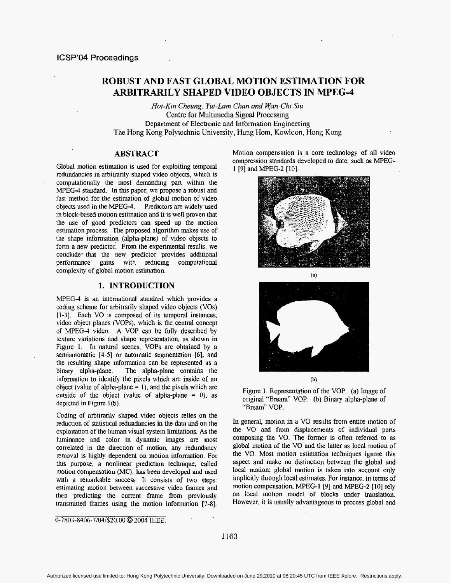# **ROBUST AND FAST GLOBAL MOTION ESTIMATION FOR ARBITRARILY SHAPED VIDEO OBJECTS IN MPEG-4**

*Hoi-Kin Cheung, Yui-Lam Chan and Wan-Chi Siu* Centre for Multimedia Signal Processing Department of Electronic and Information Engineering The Hong Kong Polytechnic University, Hung Hom, Kowloon, Hong Kong

# **ABSTRACT**

Global motion estimation is used for esploiting temporal redundancies in arbitrarily shaped video objects, which is computationally the most demanding part within the **MPEG-4** standard. In **this** paper, we propose a robust and fast method for the estimation of global motion of video objects used in the MPEG-4. Predictors are widely used in block-based motion estimation and it **is** well proven that the use **of** good predictors can speed up the motion estimation process. The proposed algorithm makes **use** of the shape information (alpha-plane) of video objects to form a new predictor. From the experimental results, we conclude< that the **new** predictor provides additional performance gains with reducing computational complesiry of global motion estimation.

## 1. **INTRODUCTION**

MPEG4 is an inlernational standard which provides a coding scheme for arbitrarily shaped video objects (VOs) [1-3]. Each VO is composed of its temporal instances, video object planes (VOPs). which is the central concept of MPEG-4 video. **A** VOP can be fully described by texture variations and shape representation, as shown in Figure 1. In 'natural scenes, **VOPs** are obtained by a semiautomatic **[4-51** or automatic segmentation *[6],* and the resulting shape information can be represented as a binary alpha-plane. The alpha-plane contains the information to identify the pixels which are inside of an object (value of **alpha-plane** = I), **and** the pixels which are outside of the object (value of alpha-plane  $= 0$ ), as depicted in Figure 1(b).

Coding of arbitrarily shaped video objects relies on the reduction of statistical redundancies in the data **and** on the exploitation of the human visual system limitations. **As the**  luminance and color in dynamic images are most correlated in the direction of **motion,** any redundancy removal **is** highly dependent on motion information. For **tlus** purpose, a nonlinear prediction technique, called niotion compensation (MC), **has** been developed and used with a remarkable success. It consists of two steps: estimating motion between successive video frames and **then** predicting **the** current frame from previously transmitted frames using the motion information [7-8].

0-7803-8406-7/04/\$20.00 @ 2004 IEEE.

Motion compensation is a core technology of all video compression standards developed to date, such **as** MPEG-1 *[9]* andMPEG-2 **[10],** 







Figure 1. Representation of the VOP. **(a)** Image of original "Bream" VOP. (b) Binary alpha-plane of "Bream" VOP.

In general, motion in a VO results from entire motion of the VO and from displacements of individual parts composing the VO. The former is often referred to as global motion **of the** VO and **the** latter as local motion of the VO. Most motion estimation techniques ignore this aspect and make no distinction between the global and local motion; global motion is taken into account only implicitly through local estimates. For instance, in terms of motion compensation, MPEG-1 [9] and MPEG-2 [10] rely on local motion model **of** blocks under translation. However. it is usually advantageous to process global and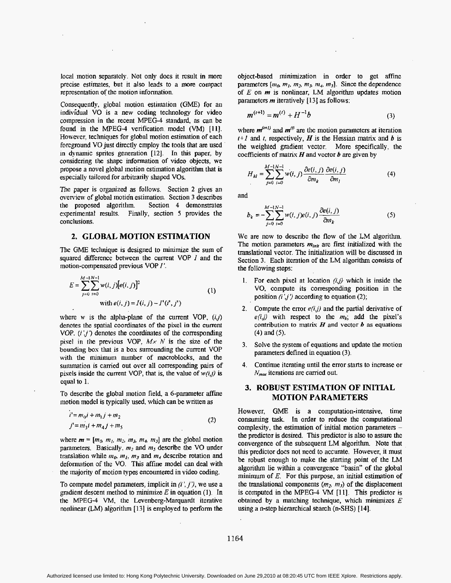local motion separately. Not only does it result in **more**  precise estimates, but it also **leads** to a more compact representation **of** the motion infonnation.

Consequently. global motion estimation **(GME) for** an individual VO is a new coding teclmology for video compression in the recent **MPEG-4** standard, **as** can be found in the MPEG-4 verification model (VM) **[ll].**  However. techniques for global motion estimation of each foreground VO **just** directly employ the tools that **are** used **in** dynamic sprites generation [12]. In this paper, by considering the shape information of video objects, we propose a novel global motion estimation algorithm that is especially tailored for arbitrarily shaped VOs.

The **paper** is organized as follows. Section **2** gives an ovenku. of global motidn **estimation.** Section *3* describes the proposed **algoritlun.** Section **4** demonstrates esperimental results. Finally, section **5** provides the conclusions.

# *2.* **GLOBAL MOTION ESTIMATION**

The **GME** technique **is** designed to **minimize** *the* **sum** of squared difference between the current VOP *I* and the motion-compensated previous VOP **2'.** 

$$
E = \sum_{j=0}^{M-1} \sum_{i=0}^{N-1} w(i, j) [e(i, j)]^2
$$
  
with  $e(i, j) = I(i, j) - I'(i', j')$  (1)

where *w* is the alpha-plane of the current VOP,  $(i,j)$ denotes **the** spatial coordinates of the **pixel in the current VOP.** *(i ;j')* denotes the Coordinates of the corresponding pisel **in** the **previous** *VOP, A4x N* is the size of the bounding box that is a **box** surrounding **the** current VOP with the minimum number of macroblocks, and the suimnation is carried out **over** all corresponding **pairs** of pixels inside the current VOP, that is, the value of  $w(i,j)$  is equal to 1.

To describe the global motion field, a 6-parameter affine motion model is typically **used,** which can be written **as** 

$$
i' = m_0 i + m_1 j + m_2
$$
  
\n
$$
j' = m_3 i + m_4 j + m_5
$$
\n(2)

where  $m = [m_0, m_1, m_2, m_3, m_4, m_5]$  are the global motion parameters. Basically,  $m_2$  and  $m_5$  describe the VO under translation while  $m_0$ ,  $m_1$ ,  $m_3$  and  $m_4$  describe rotation and deformation of the VO. This affine model can deal with **the** majority **of** motion types encountered in video coding.

To compute model parameters, implicit **in** *(i* ', *j I),* we **use a**  gradient descent method to minimize  $E$  in equation (1). In the MFEG-4 VM, **the** Levenberg-Marquardt iterative nonlinear (LM) algorithm [13] is employed to perform the object-based minimization in order to get affine parameters  $[m_0, m_1, m_2, m_3, m_4, m_5]$ . Since the dependence of *E* on *m* is nonlinear, LM **algorithm** updates motion **parameters** *m* iteratively [ 131 as follows:

$$
m^{(t+1)} = m^{(t)} + H^{-1}b \tag{3}
$$

where  $m^{(t+1)}$  and  $m^{(t)}$  are the motion parameters at iteration  $t+1$  and *t*, respectively, *H* is the Hessian matrix and *b* is **the** weighted gradient vector. More specifically. the coefficients of **matrix Hand** vector *b are* given by

$$
H_{kl} = \sum_{j=0}^{M-1} \sum_{i=0}^{N-1} w(i, j) \frac{\partial e(i, j)}{\partial m_k} \frac{\partial e(i, j)}{\partial m_l}
$$
(4)

and

 $\sim 10^{-1}$ 

in L

$$
b_k = -\sum_{i=0}^{M-1} \sum_{i=0}^{N-1} w(i, j) e(i, j) \frac{\partial e(i, j)}{\partial m_k}
$$
 (5)

We are now to describe the flow of the LM algorithm. The motion parameters  $m_{init}$  are first initialized with the translational vector. The initialization **will** be discussed in Section *3.* Each iteration of **the** LM algorithm **consists** of the following steps:

- Exercise to **For** each pixel at location  $(i,j)$  which is inside the **Form** each pixel at location  $(i,j)$  which is inside the **VO,** compute **its** corresponding position in the position  $(i',j')$  according to equation  $(2)$ ;
- 2. Compute the error  $e(i, j)$  and the partial derivative of  $e(i, j)$  with respect to the  $m_k$ ; add the pixel's contribution to matrix  $H$  and vector  $b$  as equations *(I)* and (5).
- **Solve** the system **of** equations and update **the** motion *3.*  parameters defined in equation **(3).**
- Continue iterating until the error starts to increase **or**  *IV<sub>max</sub>* iterations are carried out. 4.

# **3. ROBUST ESTIMATION OF INITIAL MOTION PARAMETERS**

However, **GME is** a computation-intensive, time consuming **task.** In order to **reduce the** computational complexity, the estimation of initial **motion** parameters the predictor **is** desired. This predictor is also to assure the convergence of **the** subsequent LM algorithm. Note that this **predictor** does **not** need **Lo** accurate. However, it must be robust enough to make the starting point of the LM algorithm **tie** within **a** convergence "basin" **of** the global minimum of *E.* For this purpose, an **initial** estimation of the translational components  $(m_2, m_5)$  of the displacement is computed in the MPEG-4 VM [l 11. **This** predictor *is*  obtained **by a** matching technique, which **minimizes** *E*  **using** a n-step hierarchical starch **(n-SHS) [14].**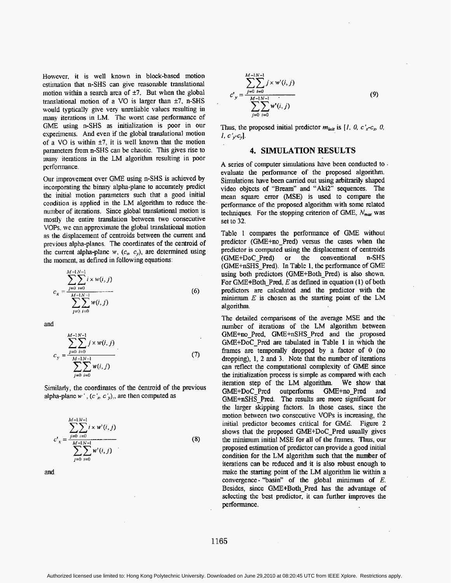However, **it** is **well** known in block-based **motion**  cstiination that n-SHS can give reasonable translational motion within a search area of  $\pm 7$ . But when the global translational motion of a  $VO$  is larger than  $±7$ ,  $n-SHS$ **would** typtically give very unreliable values **resulting** in inany iterations in **LM.** The **worst** case performance of GME using n-SHS as initialization is poor in our experiments. And even if the global translational motion of **a VO** is within **\*7,** it is well known that the motion parameters from **n-SHS** can be chaotic. This gives rise to many iterations in the LM algorithm resulting in poor performance.

Our improvement over **GME** using n-SHS is achieved by incorporating **the** binary alpha-plane to accurately predict the initial motion parameters such **that** a good initial condition is applied in the LM algorithm to reduce **the**  number of iterations. Since global translational motion is mostly the entire translation between two consecutive VOPs. we can approximate the global translational motion as the displacement of centroids between the current and previous alpha-planes. The coordinates of the centroid **of**  the current alpha-plane  $w$ ,  $(c_n, c_y)$ , are determined using the moment. as **defined** in following equations:

$$
c_x = \frac{\sum_{j=0}^{M-1} \sum_{i=0}^{N-1} i \times w(i, j)}{\sum_{j=0}^{M-1} \sum_{i=0}^{N-1} w(i, j)}
$$
(6)

**and** 

$$
c_{y} = \frac{\sum_{j=0}^{M-1} \sum_{i=0}^{N-1} j \times w(i, j)}{\sum_{j=0}^{M-1} \sum_{i=0}^{N-1} w(i, j)}
$$
(7)

Similarly, the coordinates of the centroid of the previous alpha-plane  $w'$ ,  $(c', c')$ , are then computed as

$$
c'_{x} = \frac{\sum_{j=0}^{M-1} i \times w^{i}(i, j)}{\sum_{j=0}^{M-1} \sum_{i=0}^{N-1} w^{i}(i, j)}
$$
(8)

and

$$
c'_{y} = \frac{\sum_{j=0}^{M-1} \sum_{i=0}^{N-1} f \times w^{i}(i, j)}{\sum_{j=0}^{M-1} \sum_{i=0}^{N-1} w^{i}(i, j)}
$$
(9)

Thus, the proposed initial predictor  $m_{init}$  is  $[1, 0, c]$ <sub>x</sub>-c<sub>x</sub>, 0,  $I, c', c$ <sub>y</sub>].

# **4. SIMULATION RESULTS**

**A** series **of** computer simulations have been conducted **to**  evaluate the performance of the proposed algorithm. Simulations have been carried out using arbitrarily shaped video objects of "Bream" and "Aki2" sequences. The **mean square** error **WSE)** is used to compare the performance of the proposed **algorithin** with **some** related techniques. For the stopping criterion of GME,  $N_{max}$  was set to **32.** 

Table 1 compares tlie performance of **GME** without predictor (GME+no-Pred) **versus the** cases when the predictor is computed using the displacement of centroids<br>(GME+DoC Pred) or the conventional n-SHS (GME+DoC\_Pred) or the conventional (GME+nSHS\_Pred). In Table **1,** the performance *of* GME using both predictors (GME+Both-Pred) is also shown. For GME+Both-Pred, *E* as defined in equation (1) of both predictors **are** calculated and the predictor with the minimum *E* is chosen **as the starting** point of **the** LM algorithm.

The detailed comparisons **of** the average MSE and the number of iterations of the LM algorithm between GME+no-Pred, GME+nSHS-Pred *md* the proposed GME+DoC-Pred **are** tabulated in Table **1** in which **the**  fraines **are** temporally dropped by a factor of *0* (no dropping), **1, 2** and **3. Note** that the number **of** iterations can reflect the computational complexity of GME since the initialization process **is** simple **as** compared **with** each iteration step of **the** LM algorithm. **We** show **that**  GME+DoC\_Pred GME+nSHS Pred. The results are more significant for the **larger skipping** factors. In those cases, since the motion between two consecutive **VOPs** is increasing, the initial predictor becomes critical for GME. Figure 2 **shows** that the proposed GhE+DoC-Pred usually gives the minimum initial MSE **for all of the frames. Thus,** our proposed estimation **of** predictor can provide a **good** initial condition for **the** LM algorithm such **that** the number of iterations can be **reduced and** it is **also** robust enough to make the starting point of the LM algorithm lie within a convergence- "basin" *of* the global minimum **of** *E.*  Besides, since **GME+Both-Pred** has the advantage of selecting the best **predictor,** it can firther improves the performance.

1165